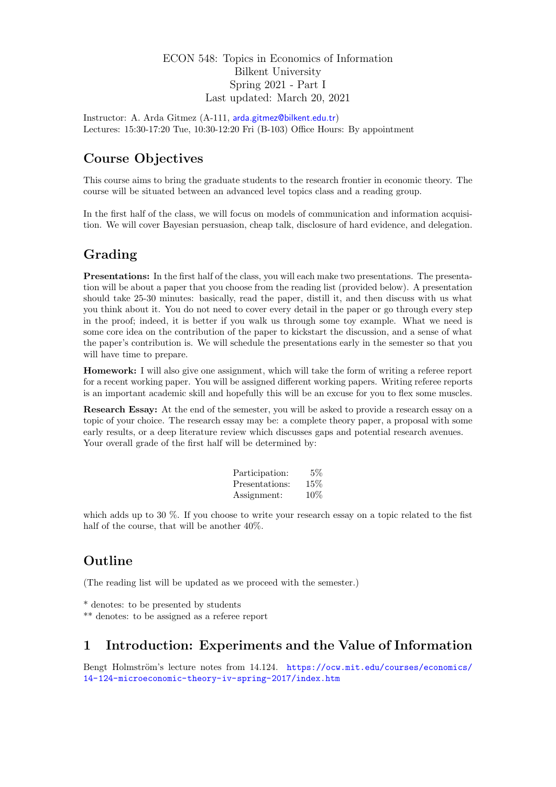## ECON 548: Topics in Economics of Information Bilkent University Spring 2021 - Part I Last updated: March 20, 2021

Instructor: A. Arda Gitmez (A-111, [arda.gitmez@bilkent.edu.tr](mailto:arda.gitmez@bilkent.edu.tr)) Lectures: 15:30-17:20 Tue, 10:30-12:20 Fri (B-103) Office Hours: By appointment

# Course Objectives

This course aims to bring the graduate students to the research frontier in economic theory. The course will be situated between an advanced level topics class and a reading group.

In the first half of the class, we will focus on models of communication and information acquisition. We will cover Bayesian persuasion, cheap talk, disclosure of hard evidence, and delegation.

# Grading

Presentations: In the first half of the class, you will each make two presentations. The presentation will be about a paper that you choose from the reading list (provided below). A presentation should take 25-30 minutes: basically, read the paper, distill it, and then discuss with us what you think about it. You do not need to cover every detail in the paper or go through every step in the proof; indeed, it is better if you walk us through some toy example. What we need is some core idea on the contribution of the paper to kickstart the discussion, and a sense of what the paper's contribution is. We will schedule the presentations early in the semester so that you will have time to prepare.

Homework: I will also give one assignment, which will take the form of writing a referee report for a recent working paper. You will be assigned different working papers. Writing referee reports is an important academic skill and hopefully this will be an excuse for you to flex some muscles.

Research Essay: At the end of the semester, you will be asked to provide a research essay on a topic of your choice. The research essay may be: a complete theory paper, a proposal with some early results, or a deep literature review which discusses gaps and potential research avenues. Your overall grade of the first half will be determined by:

| Participation: | 5%  |
|----------------|-----|
| Presentations: | 15% |
| Assignment:    | 10% |

which adds up to 30 %. If you choose to write your research essay on a topic related to the fist half of the course, that will be another 40%.

# Outline

(The reading list will be updated as we proceed with the semester.)

- \* denotes: to be presented by students
- \*\* denotes: to be assigned as a referee report

# 1 Introduction: Experiments and the Value of Information

Bengt Holmström's lecture notes from 14.124. [https://ocw.mit.edu/courses/economics/](https://ocw.mit.edu/courses/economics/14-124-microeconomic-theory-iv-spring-2017/index.htm) [14-124-microeconomic-theory-iv-spring-2017/index.htm](https://ocw.mit.edu/courses/economics/14-124-microeconomic-theory-iv-spring-2017/index.htm)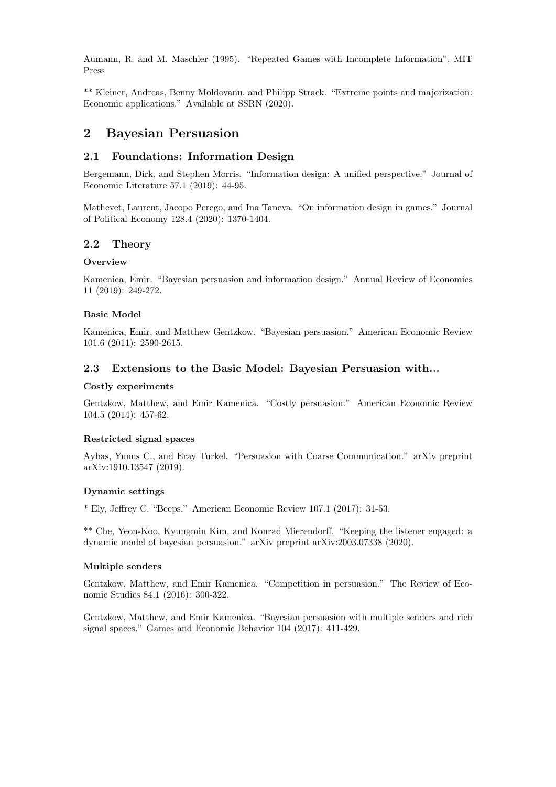Aumann, R. and M. Maschler (1995). "Repeated Games with Incomplete Information", MIT Press

\*\* Kleiner, Andreas, Benny Moldovanu, and Philipp Strack. "Extreme points and majorization: Economic applications." Available at SSRN (2020).

## 2 Bayesian Persuasion

## 2.1 Foundations: Information Design

Bergemann, Dirk, and Stephen Morris. "Information design: A unified perspective." Journal of Economic Literature 57.1 (2019): 44-95.

Mathevet, Laurent, Jacopo Perego, and Ina Taneva. "On information design in games." Journal of Political Economy 128.4 (2020): 1370-1404.

## 2.2 Theory

#### **Overview**

Kamenica, Emir. "Bayesian persuasion and information design." Annual Review of Economics 11 (2019): 249-272.

#### Basic Model

Kamenica, Emir, and Matthew Gentzkow. "Bayesian persuasion." American Economic Review 101.6 (2011): 2590-2615.

### 2.3 Extensions to the Basic Model: Bayesian Persuasion with...

#### Costly experiments

Gentzkow, Matthew, and Emir Kamenica. "Costly persuasion." American Economic Review 104.5 (2014): 457-62.

### Restricted signal spaces

Aybas, Yunus C., and Eray Turkel. "Persuasion with Coarse Communication." arXiv preprint arXiv:1910.13547 (2019).

#### Dynamic settings

\* Ely, Jeffrey C. "Beeps." American Economic Review 107.1 (2017): 31-53.

\*\* Che, Yeon-Koo, Kyungmin Kim, and Konrad Mierendorff. "Keeping the listener engaged: a dynamic model of bayesian persuasion." arXiv preprint arXiv:2003.07338 (2020).

#### Multiple senders

Gentzkow, Matthew, and Emir Kamenica. "Competition in persuasion." The Review of Economic Studies 84.1 (2016): 300-322.

Gentzkow, Matthew, and Emir Kamenica. "Bayesian persuasion with multiple senders and rich signal spaces." Games and Economic Behavior 104 (2017): 411-429.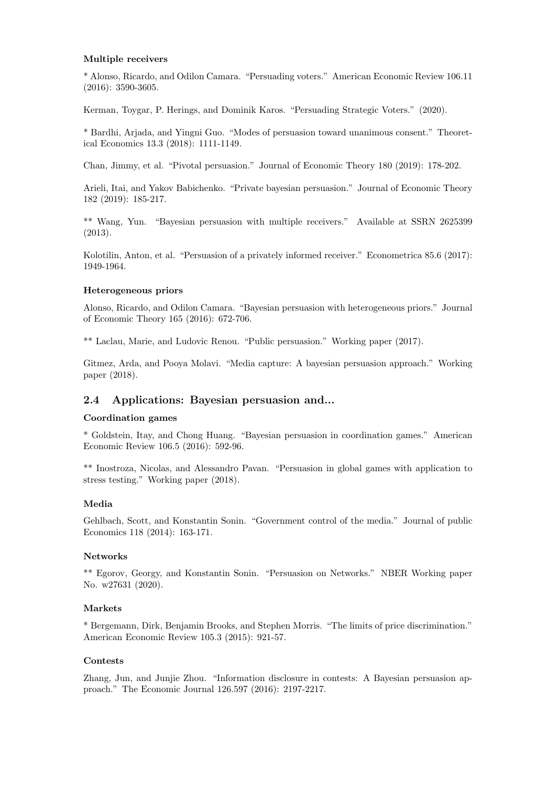#### Multiple receivers

\* Alonso, Ricardo, and Odilon Camara. "Persuading voters." American Economic Review 106.11 (2016): 3590-3605.

Kerman, Toygar, P. Herings, and Dominik Karos. "Persuading Strategic Voters." (2020).

\* Bardhi, Arjada, and Yingni Guo. "Modes of persuasion toward unanimous consent." Theoretical Economics 13.3 (2018): 1111-1149.

Chan, Jimmy, et al. "Pivotal persuasion." Journal of Economic Theory 180 (2019): 178-202.

Arieli, Itai, and Yakov Babichenko. "Private bayesian persuasion." Journal of Economic Theory 182 (2019): 185-217.

\*\* Wang, Yun. "Bayesian persuasion with multiple receivers." Available at SSRN 2625399 (2013).

Kolotilin, Anton, et al. "Persuasion of a privately informed receiver." Econometrica 85.6 (2017): 1949-1964.

#### Heterogeneous priors

Alonso, Ricardo, and Odilon Camara. "Bayesian persuasion with heterogeneous priors." Journal of Economic Theory 165 (2016): 672-706.

\*\* Laclau, Marie, and Ludovic Renou. "Public persuasion." Working paper (2017).

Gitmez, Arda, and Pooya Molavi. "Media capture: A bayesian persuasion approach." Working paper (2018).

## 2.4 Applications: Bayesian persuasion and...

#### Coordination games

\* Goldstein, Itay, and Chong Huang. "Bayesian persuasion in coordination games." American Economic Review 106.5 (2016): 592-96.

\*\* Inostroza, Nicolas, and Alessandro Pavan. "Persuasion in global games with application to stress testing." Working paper (2018).

### Media

Gehlbach, Scott, and Konstantin Sonin. "Government control of the media." Journal of public Economics 118 (2014): 163-171.

#### Networks

\*\* Egorov, Georgy, and Konstantin Sonin. "Persuasion on Networks." NBER Working paper No. w27631 (2020).

### Markets

\* Bergemann, Dirk, Benjamin Brooks, and Stephen Morris. "The limits of price discrimination." American Economic Review 105.3 (2015): 921-57.

#### Contests

Zhang, Jun, and Junjie Zhou. "Information disclosure in contests: A Bayesian persuasion approach." The Economic Journal 126.597 (2016): 2197-2217.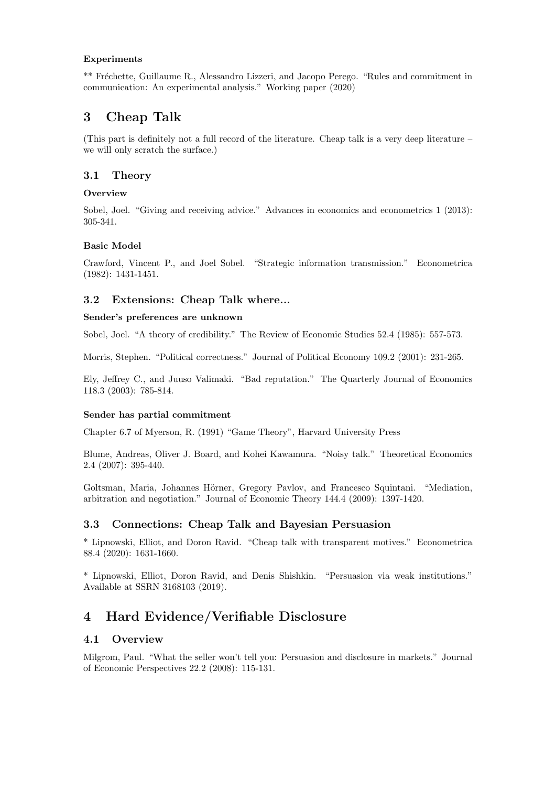### Experiments

\*\* Fréchette, Guillaume R., Alessandro Lizzeri, and Jacopo Perego. "Rules and commitment in communication: An experimental analysis." Working paper (2020)

# 3 Cheap Talk

(This part is definitely not a full record of the literature. Cheap talk is a very deep literature – we will only scratch the surface.)

## 3.1 Theory

### **Overview**

Sobel, Joel. "Giving and receiving advice." Advances in economics and econometrics 1 (2013): 305-341.

### Basic Model

Crawford, Vincent P., and Joel Sobel. "Strategic information transmission." Econometrica (1982): 1431-1451.

## 3.2 Extensions: Cheap Talk where...

### Sender's preferences are unknown

Sobel, Joel. "A theory of credibility." The Review of Economic Studies 52.4 (1985): 557-573.

Morris, Stephen. "Political correctness." Journal of Political Economy 109.2 (2001): 231-265.

Ely, Jeffrey C., and Juuso Valimaki. "Bad reputation." The Quarterly Journal of Economics 118.3 (2003): 785-814.

### Sender has partial commitment

Chapter 6.7 of Myerson, R. (1991) "Game Theory", Harvard University Press

Blume, Andreas, Oliver J. Board, and Kohei Kawamura. "Noisy talk." Theoretical Economics 2.4 (2007): 395-440.

Goltsman, Maria, Johannes Hörner, Gregory Pavlov, and Francesco Squintani. "Mediation, arbitration and negotiation." Journal of Economic Theory 144.4 (2009): 1397-1420.

## 3.3 Connections: Cheap Talk and Bayesian Persuasion

\* Lipnowski, Elliot, and Doron Ravid. "Cheap talk with transparent motives." Econometrica 88.4 (2020): 1631-1660.

\* Lipnowski, Elliot, Doron Ravid, and Denis Shishkin. "Persuasion via weak institutions." Available at SSRN 3168103 (2019).

# 4 Hard Evidence/Verifiable Disclosure

## 4.1 Overview

Milgrom, Paul. "What the seller won't tell you: Persuasion and disclosure in markets." Journal of Economic Perspectives 22.2 (2008): 115-131.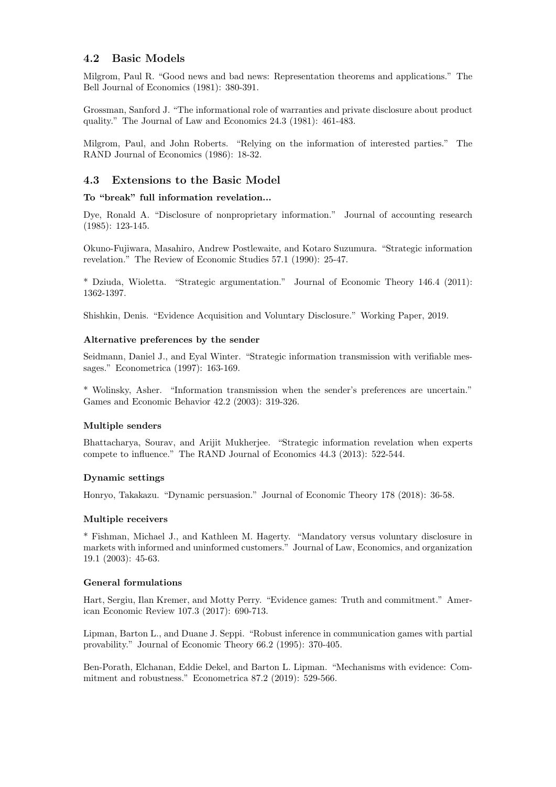## 4.2 Basic Models

Milgrom, Paul R. "Good news and bad news: Representation theorems and applications." The Bell Journal of Economics (1981): 380-391.

Grossman, Sanford J. "The informational role of warranties and private disclosure about product quality." The Journal of Law and Economics 24.3 (1981): 461-483.

Milgrom, Paul, and John Roberts. "Relying on the information of interested parties." The RAND Journal of Economics (1986): 18-32.

## 4.3 Extensions to the Basic Model

### To "break" full information revelation...

Dye, Ronald A. "Disclosure of nonproprietary information." Journal of accounting research (1985): 123-145.

Okuno-Fujiwara, Masahiro, Andrew Postlewaite, and Kotaro Suzumura. "Strategic information revelation." The Review of Economic Studies 57.1 (1990): 25-47.

\* Dziuda, Wioletta. "Strategic argumentation." Journal of Economic Theory 146.4 (2011): 1362-1397.

Shishkin, Denis. "Evidence Acquisition and Voluntary Disclosure." Working Paper, 2019.

#### Alternative preferences by the sender

Seidmann, Daniel J., and Eyal Winter. "Strategic information transmission with verifiable messages." Econometrica (1997): 163-169.

\* Wolinsky, Asher. "Information transmission when the sender's preferences are uncertain." Games and Economic Behavior 42.2 (2003): 319-326.

### Multiple senders

Bhattacharya, Sourav, and Arijit Mukherjee. "Strategic information revelation when experts compete to influence." The RAND Journal of Economics 44.3 (2013): 522-544.

### Dynamic settings

Honryo, Takakazu. "Dynamic persuasion." Journal of Economic Theory 178 (2018): 36-58.

### Multiple receivers

\* Fishman, Michael J., and Kathleen M. Hagerty. "Mandatory versus voluntary disclosure in markets with informed and uninformed customers." Journal of Law, Economics, and organization 19.1 (2003): 45-63.

#### General formulations

Hart, Sergiu, Ilan Kremer, and Motty Perry. "Evidence games: Truth and commitment." American Economic Review 107.3 (2017): 690-713.

Lipman, Barton L., and Duane J. Seppi. "Robust inference in communication games with partial provability." Journal of Economic Theory 66.2 (1995): 370-405.

Ben-Porath, Elchanan, Eddie Dekel, and Barton L. Lipman. "Mechanisms with evidence: Commitment and robustness." Econometrica 87.2 (2019): 529-566.